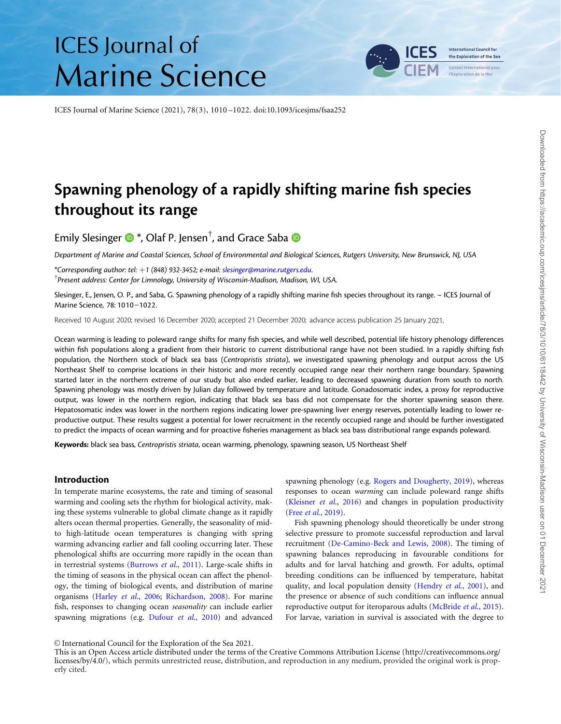# **ICES** Journal of **Marine Science**

**International Council for** the Exploration of the Sea

ICES Journal of Marine Science (2021), 78(3), 1010 –1022. doi:10.1093/icesjms/fsaa252

# Spawning phenology of a rapidly shifting marine fish species throughout its range

Emily Slesinger  $\bm{\mathbb{O}}$  \*, Olaf P. Jensen $^\dagger$ , and Grace Saba

Department of Marine and Coastal Sciences, School of Environmental and Biological Sciences, Rutgers University, New Brunswick, NJ, USA

\*Corresponding author: tel: +1 (848) 932-3452; e-mail: [slesinger@marine.rutgers.edu](mailto:slesinger@marine.rutgers.edu).

<sup>†</sup> Present address: Center for Limnology, University of Wisconsin-Madison, Madison, WI, USA.

Slesinger, E., Jensen, O. P., and Saba, G. Spawning phenology of a rapidly shifting marine fish species throughout its range. – ICES Journal of Marine Science, 78: 1010 –1022.

Received 10 August 2020; revised 16 December 2020; accepted 21 December 2020; advance access publication 25 January 2021.

Ocean warming is leading to poleward range shifts for many fish species, and while well described, potential life history phenology differences within fish populations along a gradient from their historic to current distributional range have not been studied. In a rapidly shifting fish population, the Northern stock of black sea bass (Centropristis striata), we investigated spawning phenology and output across the US Northeast Shelf to comprise locations in their historic and more recently occupied range near their northern range boundary. Spawning started later in the northern extreme of our study but also ended earlier, leading to decreased spawning duration from south to north. Spawning phenology was mostly driven by Julian day followed by temperature and latitude. Gonadosomatic index, a proxy for reproductive output, was lower in the northern region, indicating that black sea bass did not compensate for the shorter spawning season there. Hepatosomatic index was lower in the northern regions indicating lower pre-spawning liver energy reserves, potentially leading to lower reproductive output. These results suggest a potential for lower recruitment in the recently occupied range and should be further investigated to predict the impacts of ocean warming and for proactive fisheries management as black sea bass distributional range expands poleward.

Keywords: black sea bass, Centropristis striata, ocean warming, phenology, spawning season, US Northeast Shelf

#### Introduction

In temperate marine ecosystems, the rate and timing of seasonal warming and cooling sets the rhythm for biological activity, making these systems vulnerable to global climate change as it rapidly alters ocean thermal properties. Generally, the seasonality of midto high-latitude ocean temperatures is changing with spring warming advancing earlier and fall cooling occurring later. These phenological shifts are occurring more rapidly in the ocean than in terrestrial systems ([Burrows](#page-10-0) et al., 2011). Large-scale shifts in the timing of seasons in the physical ocean can affect the phenology, the timing of biological events, and distribution of marine organisms (Harley et al[., 2006;](#page-11-0) [Richardson, 2008\)](#page-12-0). For marine fish, responses to changing ocean seasonality can include earlier spawning migrations (e.g. [Dufour](#page-11-0) et al., 2010) and advanced

spawning phenology (e.g. [Rogers and Dougherty, 2019\)](#page-12-0), whereas responses to ocean warming can include poleward range shifts [\(Kleisner](#page-11-0) et al., 2016) and changes in population productivity (Free et al[., 2019\)](#page-11-0).

Fish spawning phenology should theoretically be under strong selective pressure to promote successful reproduction and larval recruitment ([De-Camino-Beck and Lewis, 2008\)](#page-11-0). The timing of spawning balances reproducing in favourable conditions for adults and for larval hatching and growth. For adults, optimal breeding conditions can be influenced by temperature, habitat quality, and local population density [\(Hendry](#page-11-0) et al., 2001), and the presence or absence of such conditions can influence annual reproductive output for iteroparous adults ([McBride](#page-11-0) et al., 2015). For larvae, variation in survival is associated with the degree to

V<sup>C</sup> International Council for the Exploration of the Sea 2021.

This is an Open Access article distributed under the terms of the Creative Commons Attribution License ([http://creativecommons.org/](http://creativecommons.org/licenses/by/4.0/) [licenses/by/4.0/\)](http://creativecommons.org/licenses/by/4.0/), which permits unrestricted reuse, distribution, and reproduction in any medium, provided the original work is properly cited.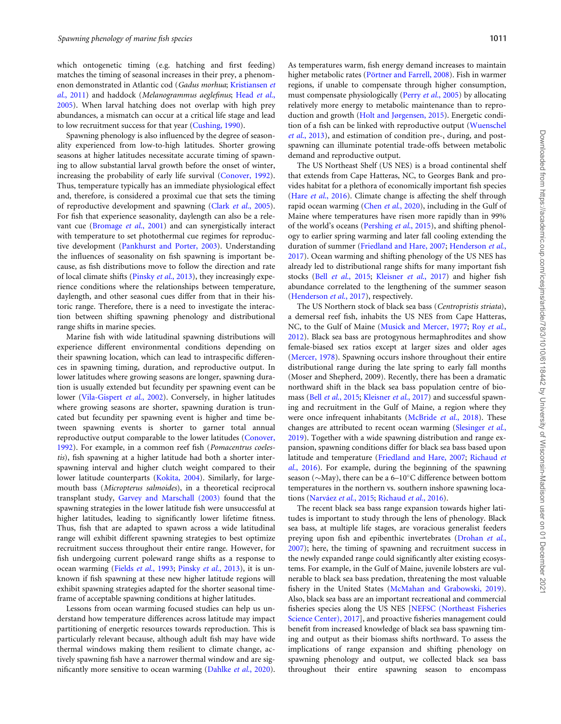which ontogenetic timing (e.g. hatching and first feeding) matches the timing of seasonal increases in their prey, a phenomenon demonstrated in Atlantic cod (Gadus morhua; [Kristiansen](#page-11-0) et al[., 2011\)](#page-11-0) and haddock (Melanogrammus aeglefinus; [Head](#page-11-0) et al., [2005\)](#page-11-0). When larval hatching does not overlap with high prey abundances, a mismatch can occur at a critical life stage and lead to low recruitment success for that year ([Cushing, 1990](#page-11-0)).

Spawning phenology is also influenced by the degree of seasonality experienced from low-to-high latitudes. Shorter growing seasons at higher latitudes necessitate accurate timing of spawning to allow substantial larval growth before the onset of winter, increasing the probability of early life survival ([Conover, 1992\)](#page-11-0). Thus, temperature typically has an immediate physiological effect and, therefore, is considered a proximal cue that sets the timing of reproductive development and spawning (Clark et al[., 2005\)](#page-11-0). For fish that experience seasonality, daylength can also be a rele-vant cue [\(Bromage](#page-10-0) et al., 2001) and can synergistically interact with temperature to set photothermal cue regimes for reproductive development [\(Pankhurst and Porter, 2003](#page-12-0)). Understanding the influences of seasonality on fish spawning is important because, as fish distributions move to follow the direction and rate of local climate shifts (Pinsky et al[., 2013\)](#page-12-0), they increasingly experience conditions where the relationships between temperature, daylength, and other seasonal cues differ from that in their historic range. Therefore, there is a need to investigate the interaction between shifting spawning phenology and distributional range shifts in marine species.

Marine fish with wide latitudinal spawning distributions will experience different environmental conditions depending on their spawning location, which can lead to intraspecific differences in spawning timing, duration, and reproductive output. In lower latitudes where growing seasons are longer, spawning duration is usually extended but fecundity per spawning event can be lower [\(Vila-Gispert](#page-12-0) et al., 2002). Conversely, in higher latitudes where growing seasons are shorter, spawning duration is truncated but fecundity per spawning event is higher and time between spawning events is shorter to garner total annual reproductive output comparable to the lower latitudes [\(Conover,](#page-11-0) [1992\)](#page-11-0). For example, in a common reef fish (Pomacentrus coelestis), fish spawning at a higher latitude had both a shorter interspawning interval and higher clutch weight compared to their lower latitude counterparts ([Kokita, 2004\)](#page-11-0). Similarly, for largemouth bass (Micropterus salmoides), in a theoretical reciprocal transplant study, [Garvey and Marschall \(2003\)](#page-11-0) found that the spawning strategies in the lower latitude fish were unsuccessful at higher latitudes, leading to significantly lower lifetime fitness. Thus, fish that are adapted to spawn across a wide latitudinal range will exhibit different spawning strategies to best optimize recruitment success throughout their entire range. However, for fish undergoing current poleward range shifts as a response to ocean warming (Fields et al[., 1993](#page-11-0); Pinsky et al[., 2013\)](#page-12-0), it is unknown if fish spawning at these new higher latitude regions will exhibit spawning strategies adapted for the shorter seasonal timeframe of acceptable spawning conditions at higher latitudes.

Lessons from ocean warming focused studies can help us understand how temperature differences across latitude may impact partitioning of energetic resources towards reproduction. This is particularly relevant because, although adult fish may have wide thermal windows making them resilient to climate change, actively spawning fish have a narrower thermal window and are significantly more sensitive to ocean warming ([Dahlke](#page-11-0) et al., 2020). As temperatures warm, fish energy demand increases to maintain higher metabolic rates (Pörtner and Farrell, 2008). Fish in warmer regions, if unable to compensate through higher consumption, must compensate physiologically (Perry et al[., 2005\)](#page-12-0) by allocating relatively more energy to metabolic maintenance than to reproduction and growth ([Holt and Jørgensen, 2015\)](#page-11-0). Energetic condition of a fish can be linked with reproductive output [\(Wuenschel](#page-12-0) et al[., 2013](#page-12-0)), and estimation of condition pre-, during, and postspawning can illuminate potential trade-offs between metabolic demand and reproductive output.

The US Northeast Shelf (US NES) is a broad continental shelf that extends from Cape Hatteras, NC, to Georges Bank and provides habitat for a plethora of economically important fish species (Hare *et al.*, 2016). Climate change is affecting the shelf through rapid ocean warming (Chen et al[., 2020\)](#page-11-0), including in the Gulf of Maine where temperatures have risen more rapidly than in 99% of the world's oceans [\(Pershing](#page-12-0) et al., 2015), and shifting phenology to earlier spring warming and later fall cooling extending the duration of summer ([Friedland and Hare, 2007](#page-11-0); [Henderson](#page-11-0) et al., [2017\)](#page-11-0). Ocean warming and shifting phenology of the US NES has already led to distributional range shifts for many important fish stocks (Bell et al[., 2015;](#page-10-0) [Kleisner](#page-11-0) et al., 2017) and higher fish abundance correlated to the lengthening of the summer season ([Henderson](#page-11-0) *et al.*, 2017), respectively.

The US Northern stock of black sea bass (Centropristis striata), a demersal reef fish, inhabits the US NES from Cape Hatteras, NC, to the Gulf of Maine ([Musick and Mercer, 1977](#page-12-0); Roy [et al](#page-12-0)., [2012\)](#page-12-0). Black sea bass are protogynous hermaphrodites and show female-biased sex ratios except at larger sizes and older ages ([Mercer, 1978\)](#page-12-0). Spawning occurs inshore throughout their entire distributional range during the late spring to early fall months (Moser and Shepherd, 2009). Recently, there has been a dramatic northward shift in the black sea bass population centre of bio-mass (Bell et al[., 2015](#page-10-0); [Kleisner](#page-11-0) et al., 2017) and successful spawning and recruitment in the Gulf of Maine, a region where they were once infrequent inhabitants ([McBride](#page-11-0) et al., 2018). These changes are attributed to recent ocean warming ([Slesinger](#page-12-0) et al., [2019\)](#page-12-0). Together with a wide spawning distribution and range expansion, spawning conditions differ for black sea bass based upon latitude and temperature ([Friedland and Hare, 2007;](#page-11-0) [Richaud](#page-12-0) et al[., 2016\)](#page-12-0). For example, during the beginning of the spawning season ( $\sim$ May), there can be a 6–10 $^{\circ}$ C difference between bottom temperatures in the northern vs. southern inshore spawning loca-tions (Narváez et al., 2015; [Richaud](#page-12-0) et al., 2016).

The recent black sea bass range expansion towards higher latitudes is important to study through the lens of phenology. Black sea bass, at multiple life stages, are voracious generalist feeders preying upon fish and epibenthic invertebrates ([Drohan](#page-11-0) et al., [2007\)](#page-11-0); here, the timing of spawning and recruitment success in the newly expanded range could significantly alter existing ecosystems. For example, in the Gulf of Maine, juvenile lobsters are vulnerable to black sea bass predation, threatening the most valuable fishery in the United States [\(McMahan and Grabowski, 2019](#page-11-0)). Also, black sea bass are an important recreational and commercial fisheries species along the US NES [\[NEFSC \(Northeast Fisheries](#page-12-0) [Science Center\), 2017\]](#page-12-0), and proactive fisheries management could benefit from increased knowledge of black sea bass spawning timing and output as their biomass shifts northward. To assess the implications of range expansion and shifting phenology on spawning phenology and output, we collected black sea bass throughout their entire spawning season to encompass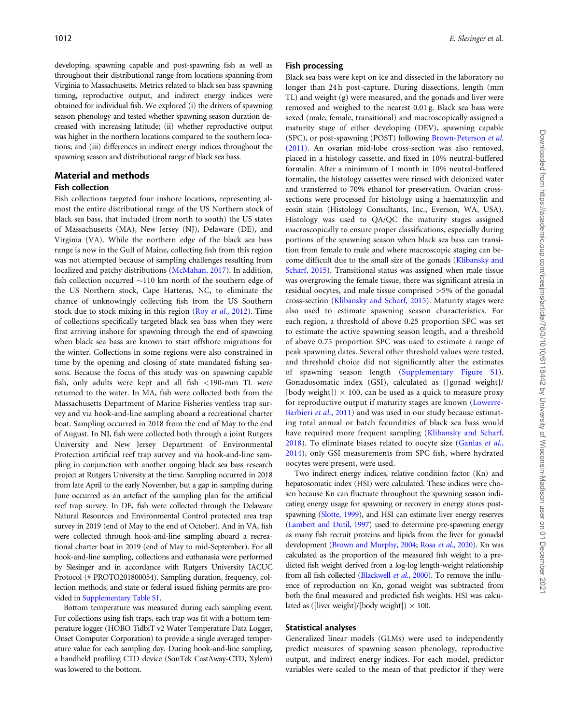developing, spawning capable and post-spawning fish as well as throughout their distributional range from locations spanning from Virginia to Massachusetts. Metrics related to black sea bass spawning timing, reproductive output, and indirect energy indices were obtained for individual fish. We explored (i) the drivers of spawning season phenology and tested whether spawning season duration decreased with increasing latitude; (ii) whether reproductive output was higher in the northern locations compared to the southern locations; and (iii) differences in indirect energy indices throughout the spawning season and distributional range of black sea bass.

#### Material and methods

# Fish collection

Fish collections targeted four inshore locations, representing almost the entire distributional range of the US Northern stock of black sea bass, that included (from north to south) the US states of Massachusetts (MA), New Jersey (NJ), Delaware (DE), and Virginia (VA). While the northern edge of the black sea bass range is now in the Gulf of Maine, collecting fish from this region was not attempted because of sampling challenges resulting from localized and patchy distributions ([McMahan, 2017\)](#page-11-0). In addition, fish collection occurred  $\sim$ 110 km north of the southern edge of the US Northern stock, Cape Hatteras, NC, to eliminate the chance of unknowingly collecting fish from the US Southern stock due to stock mixing in this region (Roy et al[., 2012](#page-12-0)). Time of collections specifically targeted black sea bass when they were first arriving inshore for spawning through the end of spawning when black sea bass are known to start offshore migrations for the winter. Collections in some regions were also constrained in time by the opening and closing of state mandated fishing seasons. Because the focus of this study was on spawning capable fish, only adults were kept and all fish <190-mm TL were returned to the water. In MA, fish were collected both from the Massachusetts Department of Marine Fisheries ventless trap survey and via hook-and-line sampling aboard a recreational charter boat. Sampling occurred in 2018 from the end of May to the end of August. In NJ, fish were collected both through a joint Rutgers University and New Jersey Department of Environmental Protection artificial reef trap survey and via hook-and-line sampling in conjunction with another ongoing black sea bass research project at Rutgers University at the time. Sampling occurred in 2018 from late April to the early November, but a gap in sampling during June occurred as an artefact of the sampling plan for the artificial reef trap survey. In DE, fish were collected through the Delaware Natural Resources and Environmental Control protected area trap survey in 2019 (end of May to the end of October). And in VA, fish were collected through hook-and-line sampling aboard a recreational charter boat in 2019 (end of May to mid-September). For all hook-and-line sampling, collections and euthanasia were performed by Slesinger and in accordance with Rutgers University IACUC Protocol (# PROTO201800054). Sampling duration, frequency, collection methods, and state or federal issued fishing permits are provided in [Supplementary Table S1](https://academic.oup.com/icesjms/article-lookup/doi/10.1093/icesjms/fsaa252#supplementary-data).

Bottom temperature was measured during each sampling event. For collections using fish traps, each trap was fit with a bottom temperature logger (HOBO TidbiT v2 Water Temperature Data Logger, Onset Computer Corporation) to provide a single averaged temperature value for each sampling day. During hook-and-line sampling, a handheld profiling CTD device (SonTek CastAway-CTD, Xylem) was lowered to the bottom.

#### Fish processing

Black sea bass were kept on ice and dissected in the laboratory no longer than 24 h post-capture. During dissections, length (mm TL) and weight (g) were measured, and the gonads and liver were removed and weighed to the nearest 0.01 g. Black sea bass were sexed (male, female, transitional) and macroscopically assigned a maturity stage of either developing (DEV), spawning capable (SPC), or post-spawning (POST) following [Brown-Peterson](#page-10-0) et al. [\(2011\).](#page-10-0) An ovarian mid-lobe cross-section was also removed, placed in a histology cassette, and fixed in 10% neutral-buffered formalin. After a minimum of 1 month in 10% neutral-buffered formalin, the histology cassettes were rinsed with deionized water and transferred to 70% ethanol for preservation. Ovarian crosssections were processed for histology using a haematoxylin and eosin stain (Histology Consultants, Inc., Everson, WA, USA). Histology was used to QA/QC the maturity stages assigned macroscopically to ensure proper classifications, especially during portions of the spawning season when black sea bass can transition from female to male and where macroscopic staging can become difficult due to the small size of the gonads [\(Klibansky and](#page-11-0) [Scharf, 2015\)](#page-11-0). Transitional status was assigned when male tissue was overgrowing the female tissue, there was significant atresia in residual oocytes, and male tissue comprised >5% of the gonadal cross-section ([Klibansky and Scharf, 2015](#page-11-0)). Maturity stages were also used to estimate spawning season characteristics. For each region, a threshold of above 0.25 proportion SPC was set to estimate the active spawning season length, and a threshold of above 0.75 proportion SPC was used to estimate a range of peak spawning dates. Several other threshold values were tested, and threshold choice did not significantly alter the estimates of spawning season length ([Supplementary Figure S1](https://academic.oup.com/icesjms/article-lookup/doi/10.1093/icesjms/fsaa252#supplementary-data)). Gonadosomatic index (GSI), calculated as ([gonad weight]/ [body weight])  $\times$  100, can be used as a quick to measure proxy for reproductive output if maturity stages are known [\(Lowerre-](#page-11-0)[Barbieri](#page-11-0) et al., 2011) and was used in our study because estimating total annual or batch fecundities of black sea bass would have required more frequent sampling ([Klibansky and Scharf,](#page-11-0) [2018](#page-11-0)). To eliminate biases related to oocyte size ([Ganias](#page-11-0) et al., [2014](#page-11-0)), only GSI measurements from SPC fish, where hydrated oocytes were present, were used.

Two indirect energy indices, relative condition factor (Kn) and hepatosomatic index (HSI) were calculated. These indices were chosen because Kn can fluctuate throughout the spawning season indicating energy usage for spawning or recovery in energy stores postspawning ([Slotte, 1999\)](#page-12-0), and HSI can estimate liver energy reserves [\(Lambert and Dutil, 1997](#page-11-0)) used to determine pre-spawning energy as many fish recruit proteins and lipids from the liver for gonadal development ([Brown and Murphy, 2004](#page-10-0); Rosa et al[., 2020](#page-12-0)). Kn was calculated as the proportion of the measured fish weight to a predicted fish weight derived from a log-log length-weight relationship from all fish collected [\(Blackwell](#page-10-0) et al., 2000). To remove the influence of reproduction on Kn, gonad weight was subtracted from both the final measured and predicted fish weights. HSI was calculated as ([liver weight]/[body weight])  $\times$  100.

#### Statistical analyses

Generalized linear models (GLMs) were used to independently predict measures of spawning season phenology, reproductive output, and indirect energy indices. For each model, predictor variables were scaled to the mean of that predictor if they were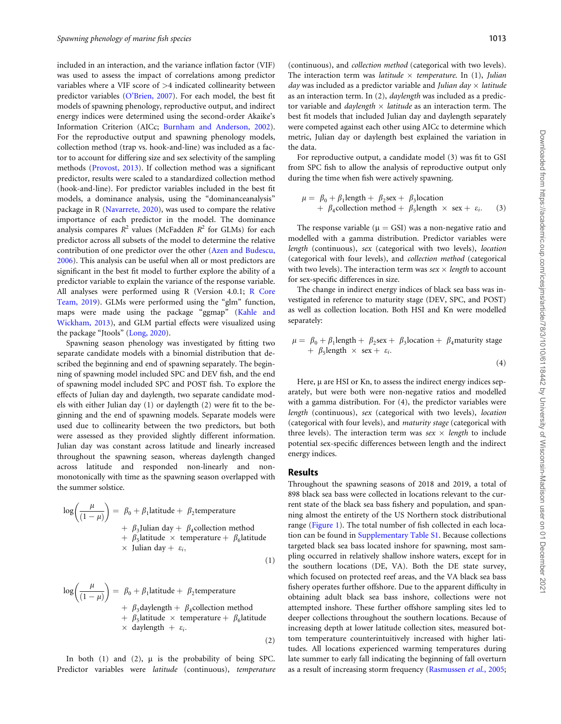included in an interaction, and the variance inflation factor (VIF) was used to assess the impact of correlations among predictor variables where a VIF score of  $>4$  indicated collinearity between predictor variables [\(O'Brien, 2007](#page-12-0)). For each model, the best fit models of spawning phenology, reproductive output, and indirect energy indices were determined using the second-order Akaike's Information Criterion (AICc; [Burnham and Anderson, 2002](#page-10-0)). For the reproductive output and spawning phenology models, collection method (trap vs. hook-and-line) was included as a factor to account for differing size and sex selectivity of the sampling methods [\(Provost, 2013](#page-12-0)). If collection method was a significant predictor, results were scaled to a standardized collection method (hook-and-line). For predictor variables included in the best fit models, a dominance analysis, using the "dominanceanalysis" package in R [\(Navarrete, 2020\)](#page-12-0), was used to compare the relative importance of each predictor in the model. The dominance analysis compares  $R^2$  values (McFadden  $R^2$  for GLMs) for each predictor across all subsets of the model to determine the relative contribution of one predictor over the other ([Azen and Budescu,](#page-10-0) [2006\)](#page-10-0). This analysis can be useful when all or most predictors are significant in the best fit model to further explore the ability of a predictor variable to explain the variance of the response variable. All analyses were performed using R (Version 4.0.1; [R Core](#page-12-0) [Team, 2019\)](#page-12-0). GLMs were performed using the "glm" function, maps were made using the package "ggmap" ([Kahle and](#page-11-0) [Wickham, 2013](#page-11-0)), and GLM partial effects were visualized using the package "Jtools" ([Long, 2020\)](#page-11-0).

Spawning season phenology was investigated by fitting two separate candidate models with a binomial distribution that described the beginning and end of spawning separately. The beginning of spawning model included SPC and DEV fish, and the end of spawning model included SPC and POST fish. To explore the effects of Julian day and daylength, two separate candidate models with either Julian day (1) or daylength (2) were fit to the beginning and the end of spawning models. Separate models were used due to collinearity between the two predictors, but both were assessed as they provided slightly different information. Julian day was constant across latitude and linearly increased throughout the spawning season, whereas daylength changed across latitude and responded non-linearly and nonmonotonically with time as the spawning season overlapped with the summer solstice.

$$
\log\left(\frac{\mu}{(1-\mu)}\right) = \beta_0 + \beta_1 \text{latitude} + \beta_2 \text{temperature} + \beta_3 \text{Julian day} + \beta_4 \text{collection method} + \beta_5 \text{latitude} \times \text{temperature} + \beta_6 \text{latitude} \times \text{Julian day} + \varepsilon_i,
$$
\n(1)

$$
\log\left(\frac{\mu}{(1-\mu)}\right) = \beta_0 + \beta_1 \text{latitude} + \beta_2 \text{temperature} + \beta_3 \text{daylength} + \beta_4 \text{collection method} + \beta_5 \text{latitude} \times \text{temperature} + \beta_6 \text{latitude} \times \text{daylength} + \varepsilon_i.
$$
\n(2)

In both  $(1)$  and  $(2)$ ,  $\mu$  is the probability of being SPC. Predictor variables were latitude (continuous), temperature (continuous), and collection method (categorical with two levels). The interaction term was latitude  $\times$  temperature. In (1), Julian day was included as a predictor variable and Julian day  $\times$  latitude as an interaction term. In (2), daylength was included as a predictor variable and *daylength*  $\times$  *latitude* as an interaction term. The best fit models that included Julian day and daylength separately were competed against each other using AICc to determine which metric, Julian day or daylength best explained the variation in the data.

For reproductive output, a candidate model (3) was fit to GSI from SPC fish to allow the analysis of reproductive output only during the time when fish were actively spawning.

$$
\mu = \beta_0 + \beta_1 \text{length} + \beta_2 \text{sex} + \beta_3 \text{location} \n+ \beta_4 \text{collection method} + \beta_5 \text{length} \times \text{sex} + \varepsilon_i.
$$
\n(3)

The response variable ( $\mu = GSI$ ) was a non-negative ratio and modelled with a gamma distribution. Predictor variables were length (continuous), sex (categorical with two levels), location (categorical with four levels), and collection method (categorical with two levels). The interaction term was  $sex \times length$  to account for sex-specific differences in size.

The change in indirect energy indices of black sea bass was investigated in reference to maturity stage (DEV, SPC, and POST) as well as collection location. Both HSI and Kn were modelled separately:

$$
\mu = \beta_0 + \beta_1 \text{length} + \beta_2 \text{sex} + \beta_3 \text{location} + \beta_4 \text{maturity stage} + \beta_5 \text{length} \times \text{sex} + \varepsilon_i.
$$
\n(4)

Here,  $\mu$  are HSI or Kn, to assess the indirect energy indices separately, but were both were non-negative ratios and modelled with a gamma distribution. For (4), the predictor variables were length (continuous), sex (categorical with two levels), location (categorical with four levels), and maturity stage (categorical with three levels). The interaction term was  $sex \times length$  to include potential sex-specific differences between length and the indirect energy indices.

#### Results

Throughout the spawning seasons of 2018 and 2019, a total of 898 black sea bass were collected in locations relevant to the current state of the black sea bass fishery and population, and spanning almost the entirety of the US Northern stock distributional range ([Figure 1\)](#page-4-0). The total number of fish collected in each location can be found in [Supplementary Table S1](https://academic.oup.com/icesjms/article-lookup/doi/10.1093/icesjms/fsaa252#supplementary-data). Because collections targeted black sea bass located inshore for spawning, most sampling occurred in relatively shallow inshore waters, except for in the southern locations (DE, VA). Both the DE state survey, which focused on protected reef areas, and the VA black sea bass fishery operates further offshore. Due to the apparent difficulty in obtaining adult black sea bass inshore, collections were not attempted inshore. These further offshore sampling sites led to deeper collections throughout the southern locations. Because of increasing depth at lower latitude collection sites, measured bottom temperature counterintuitively increased with higher latitudes. All locations experienced warming temperatures during late summer to early fall indicating the beginning of fall overturn as a result of increasing storm frequency [\(Rasmussen](#page-12-0) et al., 2005;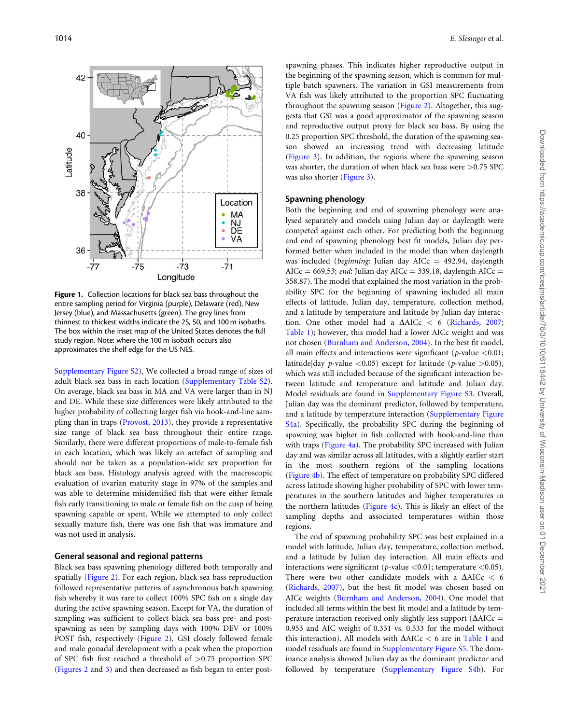<span id="page-4-0"></span>

Figure 1. Collection locations for black sea bass throughout the entire sampling period for Virginia (purple), Delaware (red), New Jersey (blue), and Massachusetts (green). The grey lines from thinnest to thickest widths indicate the 25, 50, and 100 m isobaths. The box within the inset map of the United States denotes the full study region. Note: where the 100 m isobath occurs also approximates the shelf edge for the US NES.

[Supplementary Figure S2](https://academic.oup.com/icesjms/article-lookup/doi/10.1093/icesjms/fsaa252#supplementary-data)). We collected a broad range of sizes of adult black sea bass in each location [\(Supplementary Table S2](https://academic.oup.com/icesjms/article-lookup/doi/10.1093/icesjms/fsaa252#supplementary-data)). On average, black sea bass in MA and VA were larger than in NJ and DE. While these size differences were likely attributed to the higher probability of collecting larger fish via hook-and-line sampling than in traps ([Provost, 2013\)](#page-12-0), they provide a representative size range of black sea bass throughout their entire range. Similarly, there were different proportions of male-to-female fish in each location, which was likely an artefact of sampling and should not be taken as a population-wide sex proportion for black sea bass. Histology analysis agreed with the macroscopic evaluation of ovarian maturity stage in 97% of the samples and was able to determine misidentified fish that were either female fish early transitioning to male or female fish on the cusp of being spawning capable or spent. While we attempted to only collect sexually mature fish, there was one fish that was immature and was not used in analysis.

#### General seasonal and regional patterns

Black sea bass spawning phenology differed both temporally and spatially [\(Figure 2\)](#page-5-0). For each region, black sea bass reproduction followed representative patterns of asynchronous batch spawning fish whereby it was rare to collect 100% SPC fish on a single day during the active spawning season. Except for VA, the duration of sampling was sufficient to collect black sea bass pre- and postspawning as seen by sampling days with 100% DEV or 100% POST fish, respectively [\(Figure 2](#page-5-0)). GSI closely followed female and male gonadal development with a peak when the proportion of SPC fish first reached a threshold of  $>0.75$  proportion SPC ([Figures 2](#page-5-0) and [3](#page-6-0)) and then decreased as fish began to enter post-

spawning phases. This indicates higher reproductive output in the beginning of the spawning season, which is common for multiple batch spawners. The variation in GSI measurements from VA fish was likely attributed to the proportion SPC fluctuating throughout the spawning season [\(Figure 2](#page-5-0)). Altogether, this suggests that GSI was a good approximator of the spawning season and reproductive output proxy for black sea bass. By using the 0.25 proportion SPC threshold, the duration of the spawning season showed an increasing trend with decreasing latitude [\(Figure 3](#page-6-0)). In addition, the regions where the spawning season was shorter, the duration of when black sea bass were >0.75 SPC was also shorter ([Figure 3\)](#page-6-0).

# Spawning phenology

Both the beginning and end of spawning phenology were analysed separately and models using Julian day or daylength were competed against each other. For predicting both the beginning and end of spawning phenology best fit models, Julian day performed better when included in the model than when daylength was included (*beginning*: Julian day AICc = 492.94, daylength AICc = 669.53; end: Julian day AICc = 339.18, daylength AICc = 358.87). The model that explained the most variation in the probability SPC for the beginning of spawning included all main effects of latitude, Julian day, temperature, collection method, and a latitude by temperature and latitude by Julian day interaction. One other model had a  $\triangle$ AICc < 6 [\(Richards, 2007;](#page-12-0) Table 1); however, this model had a lower AICc weight and was not chosen [\(Burnham and Anderson, 2004\)](#page-10-0). In the best fit model, all main effects and interactions were significant ( $p$ -value <0.01; latitude|day *p*-value  $\langle 0.05 \rangle$  except for latitude (*p*-value  $>0.05$ ), which was still included because of the significant interaction between latitude and temperature and latitude and Julian day. Model residuals are found in [Supplementary Figure S3](https://academic.oup.com/icesjms/article-lookup/doi/10.1093/icesjms/fsaa252#supplementary-data). Overall, Julian day was the dominant predictor, followed by temperature, and a latitude by temperature interaction [\(Supplementary Figure](https://academic.oup.com/icesjms/article-lookup/doi/10.1093/icesjms/fsaa252#supplementary-data) [S4a](https://academic.oup.com/icesjms/article-lookup/doi/10.1093/icesjms/fsaa252#supplementary-data)). Specifically, the probability SPC during the beginning of spawning was higher in fish collected with hook-and-line than with traps ([Figure 4a](#page-7-0)). The probability SPC increased with Julian day and was similar across all latitudes, with a slightly earlier start in the most southern regions of the sampling locations [\(Figure 4b](#page-7-0)). The effect of temperature on probability SPC differed across latitude showing higher probability of SPC with lower temperatures in the southern latitudes and higher temperatures in the northern latitudes ([Figure 4c\)](#page-7-0). This is likely an effect of the sampling depths and associated temperatures within those regions.

The end of spawning probability SPC was best explained in a model with latitude, Julian day, temperature, collection method, and a latitude by Julian day interaction. All main effects and interactions were significant (*p*-value  $\langle 0.01$ ; temperature  $\langle 0.05 \rangle$ . There were two other candidate models with a  $\triangle$ AICc < 6 [\(Richards, 2007](#page-12-0)), but the best fit model was chosen based on AICc weights ([Burnham and Anderson, 2004](#page-10-0)). One model that included all terms within the best fit model and a latitude by temperature interaction received only slightly less support ( $\Delta AICc$  = 0.953 and AIC weight of 0.331 vs. 0.533 for the model without this interaction). All models with  $\Delta AICc < 6$  are in Table 1 and model residuals are found in [Supplementary Figure S5](https://academic.oup.com/icesjms/article-lookup/doi/10.1093/icesjms/fsaa252#supplementary-data). The dominance analysis showed Julian day as the dominant predictor and followed by temperature [\(Supplementary Figure S4b\)](https://academic.oup.com/icesjms/article-lookup/doi/10.1093/icesjms/fsaa252#supplementary-data). For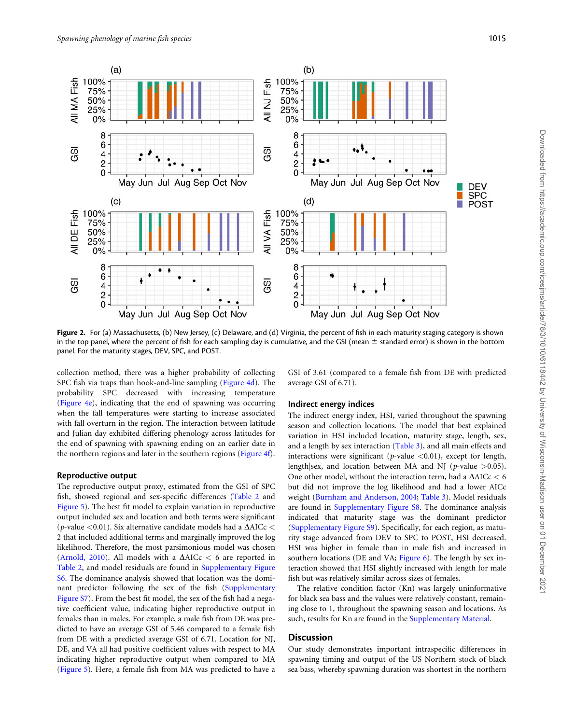<span id="page-5-0"></span>

Figure 2. For (a) Massachusetts, (b) New Jersey, (c) Delaware, and (d) Virginia, the percent of fish in each maturity staging category is shown in the top panel, where the percent of fish for each sampling day is cumulative, and the GSI (mean  $\pm$  standard error) is shown in the bottom panel. For the maturity stages, DEV, SPC, and POST.

collection method, there was a higher probability of collecting SPC fish via traps than hook-and-line sampling [\(Figure 4d](#page-7-0)). The probability SPC decreased with increasing temperature ([Figure 4e](#page-7-0)), indicating that the end of spawning was occurring when the fall temperatures were starting to increase associated with fall overturn in the region. The interaction between latitude and Julian day exhibited differing phenology across latitudes for the end of spawning with spawning ending on an earlier date in the northern regions and later in the southern regions ([Figure 4f\)](#page-7-0).

#### Reproductive output

The reproductive output proxy, estimated from the GSI of SPC fish, showed regional and sex-specific differences ([Table 2](#page-7-0) and [Figure 5](#page-8-0)). The best fit model to explain variation in reproductive output included sex and location and both terms were significant (p-value <0.01). Six alternative candidate models had a  $\Delta AICc$  < 2 that included additional terms and marginally improved the log likelihood. Therefore, the most parsimonious model was chosen ([Arnold, 2010\)](#page-10-0). All models with a  $\Delta AICc < 6$  are reported in [Table 2](#page-7-0), and model residuals are found in [Supplementary Figure](https://academic.oup.com/icesjms/article-lookup/doi/10.1093/icesjms/fsaa252#supplementary-data) [S6.](https://academic.oup.com/icesjms/article-lookup/doi/10.1093/icesjms/fsaa252#supplementary-data) The dominance analysis showed that location was the dominant predictor following the sex of the fish ([Supplementary](https://academic.oup.com/icesjms/article-lookup/doi/10.1093/icesjms/fsaa252#supplementary-data) [Figure S7](https://academic.oup.com/icesjms/article-lookup/doi/10.1093/icesjms/fsaa252#supplementary-data)). From the best fit model, the sex of the fish had a negative coefficient value, indicating higher reproductive output in females than in males. For example, a male fish from DE was predicted to have an average GSI of 5.46 compared to a female fish from DE with a predicted average GSI of 6.71. Location for NJ, DE, and VA all had positive coefficient values with respect to MA indicating higher reproductive output when compared to MA ([Figure 5\)](#page-8-0). Here, a female fish from MA was predicted to have a

GSI of 3.61 (compared to a female fish from DE with predicted average GSI of 6.71).

#### Indirect energy indices

The indirect energy index, HSI, varied throughout the spawning season and collection locations. The model that best explained variation in HSI included location, maturity stage, length, sex, and a length by sex interaction ([Table 3](#page-8-0)), and all main effects and interactions were significant ( $p$ -value  $\langle 0.01 \rangle$ , except for length, length sex, and location between MA and NJ ( $p$ -value >0.05). One other model, without the interaction term, had a  $\Delta AICc < 6$ but did not improve the log likelihood and had a lower AICc weight ([Burnham and Anderson, 2004](#page-10-0); [Table 3\)](#page-8-0). Model residuals are found in [Supplementary Figure S8](https://academic.oup.com/icesjms/article-lookup/doi/10.1093/icesjms/fsaa252#supplementary-data). The dominance analysis indicated that maturity stage was the dominant predictor ([Supplementary Figure S9](https://academic.oup.com/icesjms/article-lookup/doi/10.1093/icesjms/fsaa252#supplementary-data)). Specifically, for each region, as maturity stage advanced from DEV to SPC to POST, HSI decreased. HSI was higher in female than in male fish and increased in southern locations (DE and VA; [Figure 6](#page-8-0)). The length by sex interaction showed that HSI slightly increased with length for male fish but was relatively similar across sizes of females.

The relative condition factor (Kn) was largely uninformative for black sea bass and the values were relatively constant, remaining close to 1, throughout the spawning season and locations. As such, results for Kn are found in the [Supplementary Material.](https://academic.oup.com/icesjms/article-lookup/doi/10.1093/icesjms/fsaa252#supplementary-data)

# **Discussion**

Our study demonstrates important intraspecific differences in spawning timing and output of the US Northern stock of black sea bass, whereby spawning duration was shortest in the northern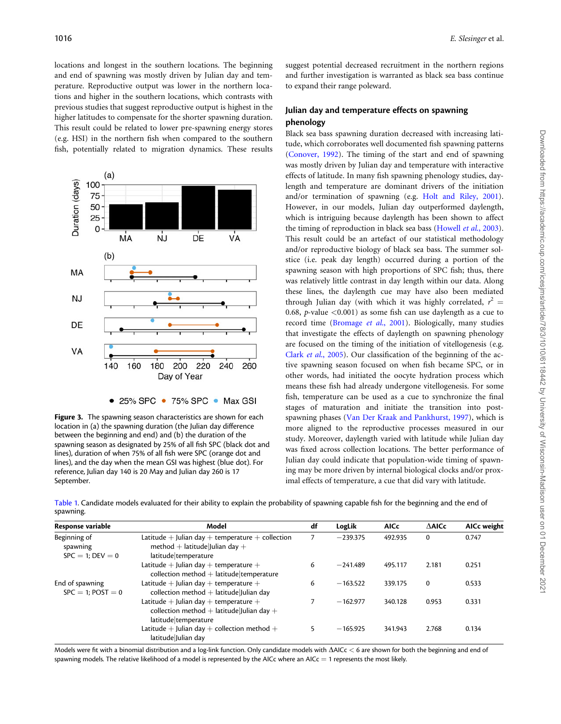<span id="page-6-0"></span>locations and longest in the southern locations. The beginning and end of spawning was mostly driven by Julian day and temperature. Reproductive output was lower in the northern locations and higher in the southern locations, which contrasts with previous studies that suggest reproductive output is highest in the higher latitudes to compensate for the shorter spawning duration. This result could be related to lower pre-spawning energy stores (e.g. HSI) in the northern fish when compared to the southern fish, potentially related to migration dynamics. These results



Figure 3. The spawning season characteristics are shown for each location in (a) the spawning duration (the Julian day difference between the beginning and end) and (b) the duration of the spawning season as designated by 25% of all fish SPC (black dot and lines), duration of when 75% of all fish were SPC (orange dot and lines), and the day when the mean GSI was highest (blue dot). For reference, Julian day 140 is 20 May and Julian day 260 is 17 September.

suggest potential decreased recruitment in the northern regions and further investigation is warranted as black sea bass continue to expand their range poleward.

# Julian day and temperature effects on spawning phenology

Black sea bass spawning duration decreased with increasing latitude, which corroborates well documented fish spawning patterns [\(Conover, 1992\)](#page-11-0). The timing of the start and end of spawning was mostly driven by Julian day and temperature with interactive effects of latitude. In many fish spawning phenology studies, daylength and temperature are dominant drivers of the initiation and/or termination of spawning (e.g. [Holt and Riley, 2001](#page-11-0)). However, in our models, Julian day outperformed daylength, which is intriguing because daylength has been shown to affect the timing of reproduction in black sea bass [\(Howell](#page-11-0) et al., 2003). This result could be an artefact of our statistical methodology and/or reproductive biology of black sea bass. The summer solstice (i.e. peak day length) occurred during a portion of the spawning season with high proportions of SPC fish; thus, there was relatively little contrast in day length within our data. Along these lines, the daylength cue may have also been mediated through Julian day (with which it was highly correlated,  $r^2 =$ 0.68, p-value  $\langle 0.001 \rangle$  as some fish can use daylength as a cue to record time [\(Bromage](#page-10-0) et al., 2001). Biologically, many studies that investigate the effects of daylength on spawning phenology are focused on the timing of the initiation of vitellogenesis (e.g. Clark et al[., 2005\)](#page-11-0). Our classification of the beginning of the active spawning season focused on when fish became SPC, or in other words, had initiated the oocyte hydration process which means these fish had already undergone vitellogenesis. For some fish, temperature can be used as a cue to synchronize the final stages of maturation and initiate the transition into postspawning phases [\(Van Der Kraak and Pankhurst, 1997\)](#page-12-0), which is more aligned to the reproductive processes measured in our study. Moreover, daylength varied with latitude while Julian day was fixed across collection locations. The better performance of Julian day could indicate that population-wide timing of spawning may be more driven by internal biological clocks and/or proximal effects of temperature, a cue that did vary with latitude.

Table 1. Candidate models evaluated for their ability to explain the probability of spawning capable fish for the beginning and the end of spawning.

| Response variable                               | Model                                                                                                                | df | LogLik     | <b>AICc</b> | $A$ Al $C$ c | AICc weight |
|-------------------------------------------------|----------------------------------------------------------------------------------------------------------------------|----|------------|-------------|--------------|-------------|
| Beginning of<br>spawning<br>$SPC = 1$ : DEV = 0 | Latitude $+$ Julian day $+$ temperature $+$ collection<br>method + latitude Julian day +<br>latitude temperature     |    | $-239.375$ | 492.935     | $\mathbf 0$  | 0.747       |
|                                                 | Latitude $+$ Julian day $+$ temperature $+$<br>collection method $+$ latitude temperature                            | 6  | $-241.489$ | 495.117     | 2.181        | 0.251       |
| End of spawning<br>$SPC = 1$ : POST = 0         | Latitude $+$ Julian day $+$ temperature $+$<br>collection method $+$ latitude Julian day                             | 6  | $-163.522$ | 339.175     | $\mathbf 0$  | 0.533       |
|                                                 | Latitude $+$ Julian day $+$ temperature $+$<br>collection method $+$ latitude Julian day $+$<br>latitude temperature |    | $-162.977$ | 340.128     | 0.953        | 0.331       |
|                                                 | Latitude $+$ Julian day $+$ collection method $+$<br>latitude Julian day                                             |    | $-165.925$ | 341.943     | 2.768        | 0.134       |

Models were fit with a binomial distribution and a log-link function. Only candidate models with  $\Delta$ AICc  $\lt$  6 are shown for both the beginning and end of spawning models. The relative likelihood of a model is represented by the AICc where an AICc  $=$  1 represents the most likely.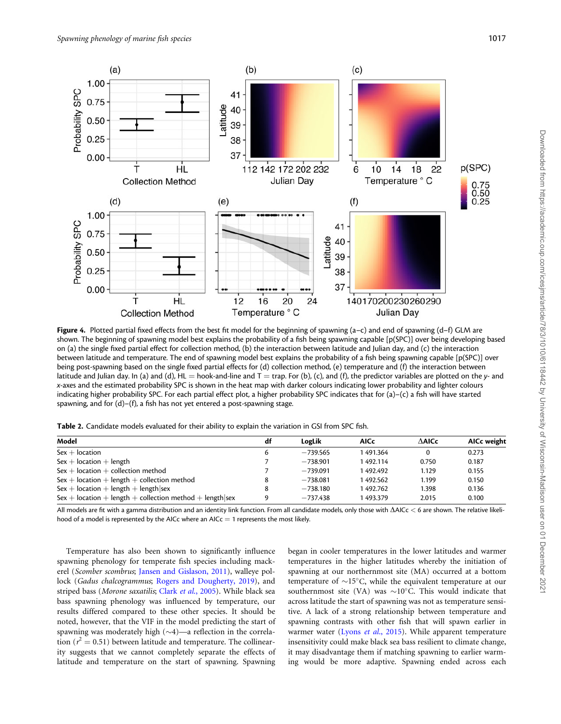<span id="page-7-0"></span>

Figure 4. Plotted partial fixed effects from the best fit model for the beginning of spawning  $(a-c)$  and end of spawning  $(d-f)$  GLM are shown. The beginning of spawning model best explains the probability of a fish being spawning capable [p(SPC)] over being developing based on (a) the single fixed partial effect for collection method, (b) the interaction between latitude and Julian day, and (c) the interaction between latitude and temperature. The end of spawning model best explains the probability of a fish being spawning capable [p(SPC)] over being post-spawning based on the single fixed partial effects for (d) collection method, (e) temperature and (f) the interaction between latitude and Julian day. In (a) and (d), HL = hook-and-line and  $T = \text{trap}$ . For (b), (c), and (f), the predictor variables are plotted on the y- and x-axes and the estimated probability SPC is shown in the heat map with darker colours indicating lower probability and lighter colours indicating higher probability SPC. For each partial effect plot, a higher probability SPC indicates that for (a)–(c) a fish will have started spawning, and for (d)–(f), a fish has not yet entered a post-spawning stage.

Table 2. Candidate models evaluated for their ability to explain the variation in GSI from SPC fish.

| Model                                                    | df | LogLik     | AICc     | $\Delta$ AlCc | AICc weight |
|----------------------------------------------------------|----|------------|----------|---------------|-------------|
| $Sex + location$                                         |    | $-739.565$ | 1491.364 | 0             | 0.273       |
| $Sex + location + length$                                |    | $-738.901$ | 1492.114 | 0.750         | 0.187       |
| $Sex + location + collection method$                     |    | $-739.091$ | 1492.492 | 1.129         | 0.155       |
| $Sex + location + length + collection method$            |    | $-738.081$ | 1492.562 | 1.199         | 0.150       |
| $Sex + location + length + length sex$                   |    | $-738.180$ | 1492.762 | 1.398         | 0.136       |
| Sex + location + length + collection method + length sex |    | $-737.438$ | 1493.379 | 2.015         | 0.100       |

All models are fit with a gamma distribution and an identity link function. From all candidate models, only those with  $\Delta$ AICc < 6 are shown. The relative likelihood of a model is represented by the AICc where an AICc  $=$  1 represents the most likely.

Temperature has also been shown to significantly influence spawning phenology for temperate fish species including mackerel (Scomber scombrus; [Jansen and Gislason, 2011\)](#page-11-0), walleye pol-lock (Gadus chalcogrammus; [Rogers and Dougherty, 2019\)](#page-12-0), and striped bass (Morone saxatilis; Clark et al[., 2005\)](#page-11-0). While black sea bass spawning phenology was influenced by temperature, our results differed compared to these other species. It should be noted, however, that the VIF in the model predicting the start of spawning was moderately high  $(\sim4)$ —a reflection in the correlation ( $r^2 = 0.51$ ) between latitude and temperature. The collinearity suggests that we cannot completely separate the effects of latitude and temperature on the start of spawning. Spawning began in cooler temperatures in the lower latitudes and warmer temperatures in the higher latitudes whereby the initiation of spawning at our northernmost site (MA) occurred at a bottom temperature of  $\sim$ 15°C, while the equivalent temperature at our southernmost site (VA) was  $\sim$ 10°C. This would indicate that across latitude the start of spawning was not as temperature sensitive. A lack of a strong relationship between temperature and spawning contrasts with other fish that will spawn earlier in warmer water (Lyons et al[., 2015\)](#page-11-0). While apparent temperature insensitivity could make black sea bass resilient to climate change, it may disadvantage them if matching spawning to earlier warming would be more adaptive. Spawning ended across each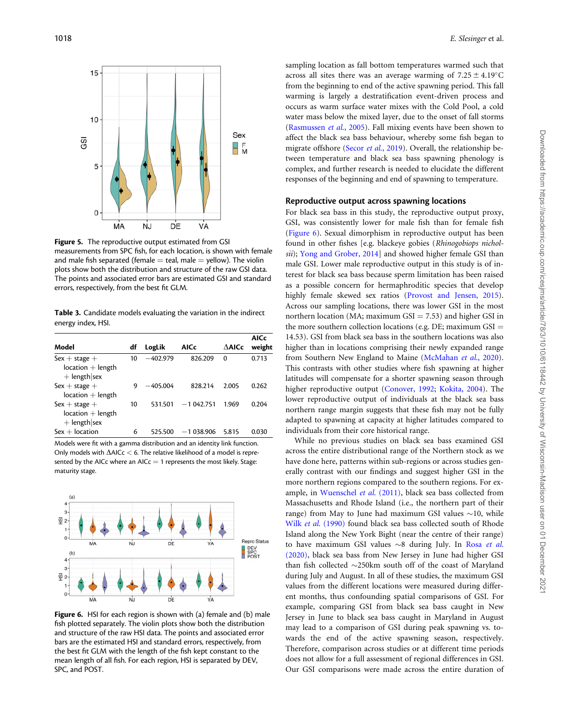<span id="page-8-0"></span>

**Figure 5.** The reproductive output estimated from GSI measurements from SPC fish, for each location, is shown with female and male fish separated (female  $=$  teal, male  $=$  yellow). The violin plots show both the distribution and structure of the raw GSI data. The points and associated error bars are estimated GSI and standard errors, respectively, from the best fit GLM.

Table 3. Candidate models evaluating the variation in the indirect energy index, HSI.

|                                                          |    |            |             |               | <b>AICc</b> |
|----------------------------------------------------------|----|------------|-------------|---------------|-------------|
| Model                                                    | df | LogLik     | AICc        | $\Delta$ AlCc | weight      |
| $Sex + stage +$<br>$location + length$<br>$+$ length sex | 10 | $-402.979$ | 826.209     | $\Omega$      | 0.713       |
| $Sex + stage +$<br>$location + length$                   | 9  | $-405.004$ | 828.214     | 2.005         | 0.262       |
| $Sex + stage +$<br>$location + length$<br>$+$ length sex | 10 | 531.501    | $-1042.751$ | 1.969         | 0.204       |
| $Sex + location$                                         | 6  | 525.500    | $-1038.906$ | 5.815         | 0.030       |

Models were fit with a gamma distribution and an identity link function. Only models with  $\Delta$ AICc  $<$  6. The relative likelihood of a model is represented by the AICc where an AICc  $=$  1 represents the most likely. Stage: maturity stage.



Figure 6. HSI for each region is shown with (a) female and (b) male fish plotted separately. The violin plots show both the distribution and structure of the raw HSI data. The points and associated error bars are the estimated HSI and standard errors, respectively, from the best fit GLM with the length of the fish kept constant to the mean length of all fish. For each region, HSI is separated by DEV, SPC, and POST.

sampling location as fall bottom temperatures warmed such that across all sites there was an average warming of  $7.25 \pm 4.19^{\circ}$ C from the beginning to end of the active spawning period. This fall warming is largely a destratification event-driven process and occurs as warm surface water mixes with the Cold Pool, a cold water mass below the mixed layer, due to the onset of fall storms [\(Rasmussen](#page-12-0) et al., 2005). Fall mixing events have been shown to affect the black sea bass behaviour, whereby some fish began to migrate offshore (Secor et al[., 2019](#page-12-0)). Overall, the relationship between temperature and black sea bass spawning phenology is complex, and further research is needed to elucidate the different responses of the beginning and end of spawning to temperature.

#### Reproductive output across spawning locations

For black sea bass in this study, the reproductive output proxy, GSI, was consistently lower for male fish than for female fish (Figure 6). Sexual dimorphism in reproductive output has been found in other fishes [e.g. blackeye gobies (Rhinogobiops nichol-sii); [Yong and Grober, 2014](#page-12-0)] and showed higher female GSI than male GSI. Lower male reproductive output in this study is of interest for black sea bass because sperm limitation has been raised as a possible concern for hermaphroditic species that develop highly female skewed sex ratios ([Provost and Jensen, 2015](#page-12-0)). Across our sampling locations, there was lower GSI in the most northern location (MA; maximum  $GSI = 7.53$ ) and higher GSI in the more southern collection locations (e.g. DE; maximum  $GSI =$ 14.53). GSI from black sea bass in the southern locations was also higher than in locations comprising their newly expanded range from Southern New England to Maine ([McMahan](#page-12-0) et al., 2020). This contrasts with other studies where fish spawning at higher latitudes will compensate for a shorter spawning season through higher reproductive output ([Conover, 1992](#page-11-0); [Kokita, 2004\)](#page-11-0). The lower reproductive output of individuals at the black sea bass northern range margin suggests that these fish may not be fully adapted to spawning at capacity at higher latitudes compared to individuals from their core historical range.

While no previous studies on black sea bass examined GSI across the entire distributional range of the Northern stock as we have done here, patterns within sub-regions or across studies generally contrast with our findings and suggest higher GSI in the more northern regions compared to the southern regions. For example, in [Wuenschel](#page-12-0) et al. (2011), black sea bass collected from Massachusetts and Rhode Island (i.e., the northern part of their range) from May to June had maximum GSI values  $\sim$ 10, while Wilk et al[. \(1990\)](#page-12-0) found black sea bass collected south of Rhode Island along the New York Bight (near the centre of their range) to have maximum GSI values  $\sim$ 8 during July. In [Rosa](#page-12-0) et al. [\(2020\),](#page-12-0) black sea bass from New Jersey in June had higher GSI than fish collected  $\sim$ 250km south off of the coast of Maryland during July and August. In all of these studies, the maximum GSI values from the different locations were measured during different months, thus confounding spatial comparisons of GSI. For example, comparing GSI from black sea bass caught in New Jersey in June to black sea bass caught in Maryland in August may lead to a comparison of GSI during peak spawning vs. towards the end of the active spawning season, respectively. Therefore, comparison across studies or at different time periods does not allow for a full assessment of regional differences in GSI. Our GSI comparisons were made across the entire duration of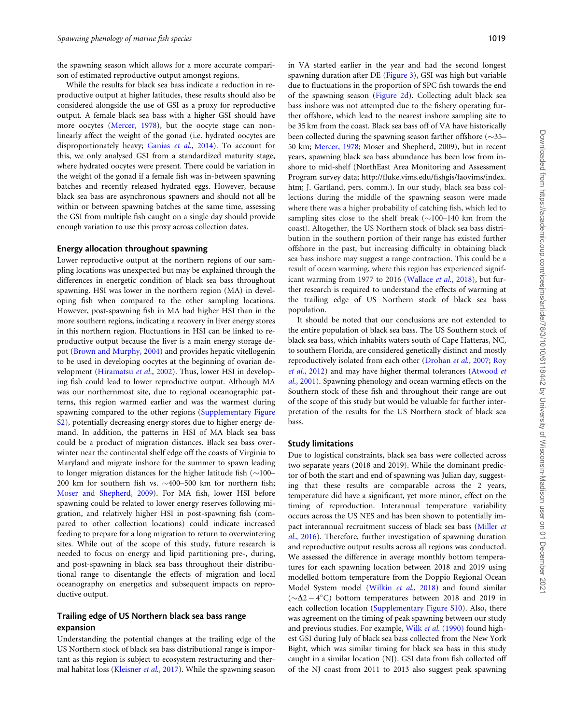the spawning season which allows for a more accurate comparison of estimated reproductive output amongst regions.

While the results for black sea bass indicate a reduction in reproductive output at higher latitudes, these results should also be considered alongside the use of GSI as a proxy for reproductive output. A female black sea bass with a higher GSI should have more oocytes [\(Mercer, 1978](#page-12-0)), but the oocyte stage can nonlinearly affect the weight of the gonad (i.e. hydrated oocytes are disproportionately heavy; Ganias et al[., 2014\)](#page-11-0). To account for this, we only analysed GSI from a standardized maturity stage, where hydrated oocytes were present. There could be variation in the weight of the gonad if a female fish was in-between spawning batches and recently released hydrated eggs. However, because black sea bass are asynchronous spawners and should not all be within or between spawning batches at the same time, assessing the GSI from multiple fish caught on a single day should provide enough variation to use this proxy across collection dates.

#### Energy allocation throughout spawning

Lower reproductive output at the northern regions of our sampling locations was unexpected but may be explained through the differences in energetic condition of black sea bass throughout spawning. HSI was lower in the northern region (MA) in developing fish when compared to the other sampling locations. However, post-spawning fish in MA had higher HSI than in the more southern regions, indicating a recovery in liver energy stores in this northern region. Fluctuations in HSI can be linked to reproductive output because the liver is a main energy storage depot [\(Brown and Murphy, 2004](#page-10-0)) and provides hepatic vitellogenin to be used in developing oocytes at the beginning of ovarian development ([Hiramatsu](#page-11-0) et al., 2002). Thus, lower HSI in developing fish could lead to lower reproductive output. Although MA was our northernmost site, due to regional oceanographic patterns, this region warmed earlier and was the warmest during spawning compared to the other regions ([Supplementary Figure](https://academic.oup.com/icesjms/article-lookup/doi/10.1093/icesjms/fsaa252#supplementary-data) [S2\)](https://academic.oup.com/icesjms/article-lookup/doi/10.1093/icesjms/fsaa252#supplementary-data), potentially decreasing energy stores due to higher energy demand. In addition, the patterns in HSI of MA black sea bass could be a product of migration distances. Black sea bass overwinter near the continental shelf edge off the coasts of Virginia to Maryland and migrate inshore for the summer to spawn leading to longer migration distances for the higher latitude fish  $(\sim]100-$ 200 km for southern fish vs.  $\sim$ 400–500 km for northern fish; [Moser and Shepherd, 2009](#page-12-0)). For MA fish, lower HSI before spawning could be related to lower energy reserves following migration, and relatively higher HSI in post-spawning fish (compared to other collection locations) could indicate increased feeding to prepare for a long migration to return to overwintering sites. While out of the scope of this study, future research is needed to focus on energy and lipid partitioning pre-, during, and post-spawning in black sea bass throughout their distributional range to disentangle the effects of migration and local oceanography on energetics and subsequent impacts on reproductive output.

#### Trailing edge of US Northern black sea bass range expansion

Understanding the potential changes at the trailing edge of the US Northern stock of black sea bass distributional range is important as this region is subject to ecosystem restructuring and ther-mal habitat loss ([Kleisner](#page-11-0) et al., 2017). While the spawning season

in VA started earlier in the year and had the second longest spawning duration after DE ([Figure 3](#page-6-0)), GSI was high but variable due to fluctuations in the proportion of SPC fish towards the end of the spawning season [\(Figure 2d](#page-5-0)). Collecting adult black sea bass inshore was not attempted due to the fishery operating further offshore, which lead to the nearest inshore sampling site to be 35 km from the coast. Black sea bass off of VA have historically been collected during the spawning season farther offshore  $(\sim]35$ -50 km; [Mercer, 1978;](#page-12-0) Moser and Shepherd, 2009), but in recent years, spawning black sea bass abundance has been low from inshore to mid-shelf (NorthEast Area Monitoring and Assessment Program survey data; [http://fluke.vims.edu/fishgis/faovims/index.](http://fluke.vims.edu/fishgis/faovims/index.htm) [htm](http://fluke.vims.edu/fishgis/faovims/index.htm); J. Gartland, pers. comm.). In our study, black sea bass collections during the middle of the spawning season were made where there was a higher probability of catching fish, which led to sampling sites close to the shelf break  $(\sim]100-140$  km from the coast). Altogether, the US Northern stock of black sea bass distribution in the southern portion of their range has existed further offshore in the past, but increasing difficulty in obtaining black sea bass inshore may suggest a range contraction. This could be a result of ocean warming, where this region has experienced signif-icant warming from 1977 to 2016 [\(Wallace](#page-12-0) et al., 2018), but further research is required to understand the effects of warming at the trailing edge of US Northern stock of black sea bass population.

It should be noted that our conclusions are not extended to the entire population of black sea bass. The US Southern stock of black sea bass, which inhabits waters south of Cape Hatteras, NC, to southern Florida, are considered genetically distinct and mostly reproductively isolated from each other [\(Drohan](#page-11-0) et al., 2007; [Roy](#page-12-0) et al[., 2012\)](#page-12-0) and may have higher thermal tolerances ([Atwood](#page-10-0) et al[., 2001\)](#page-10-0). Spawning phenology and ocean warming effects on the Southern stock of these fish and throughout their range are out of the scope of this study but would be valuable for further interpretation of the results for the US Northern stock of black sea bass.

#### Study limitations

Due to logistical constraints, black sea bass were collected across two separate years (2018 and 2019). While the dominant predictor of both the start and end of spawning was Julian day, suggesting that these results are comparable across the 2 years, temperature did have a significant, yet more minor, effect on the timing of reproduction. Interannual temperature variability occurs across the US NES and has been shown to potentially impact interannual recruitment success of black sea bass [\(Miller](#page-12-0) et al[., 2016\)](#page-12-0). Therefore, further investigation of spawning duration and reproductive output results across all regions was conducted. We assessed the difference in average monthly bottom temperatures for each spawning location between 2018 and 2019 using modelled bottom temperature from the Doppio Regional Ocean Model System model (Wilkin et al[., 2018\)](#page-12-0) and found similar  $({\sim}\Delta2-4$ °C) bottom temperatures between 2018 and 2019 in each collection location ([Supplementary Figure S10\)](https://academic.oup.com/icesjms/article-lookup/doi/10.1093/icesjms/fsaa252#supplementary-data). Also, there was agreement on the timing of peak spawning between our study and previous studies. For example, Wilk et al[. \(1990\)](#page-12-0) found highest GSI during July of black sea bass collected from the New York Bight, which was similar timing for black sea bass in this study caught in a similar location (NJ). GSI data from fish collected off of the NJ coast from 2011 to 2013 also suggest peak spawning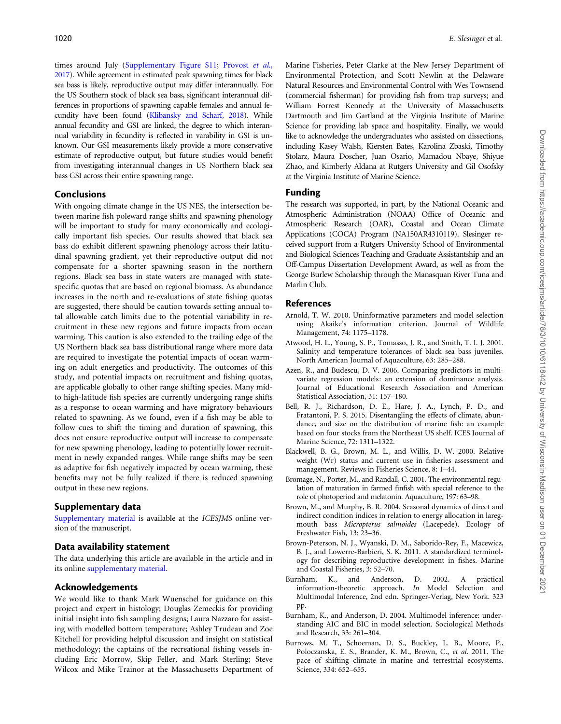<span id="page-10-0"></span>times around July ([Supplementary Figure S11;](https://academic.oup.com/icesjms/article-lookup/doi/10.1093/icesjms/fsaa252#supplementary-data) [Provost](#page-12-0) et al., [2017](#page-12-0)). While agreement in estimated peak spawning times for black sea bass is likely, reproductive output may differ interannually. For the US Southern stock of black sea bass, significant interannual differences in proportions of spawning capable females and annual fecundity have been found [\(Klibansky and Scharf, 2018](#page-11-0)). While annual fecundity and GSI are linked, the degree to which interannual variability in fecundity is reflected in varability in GSI is unknown. Our GSI measurements likely provide a more conservative estimate of reproductive output, but future studies would benefit from investigating interannual changes in US Northern black sea bass GSI across their entire spawning range.

# Conclusions

With ongoing climate change in the US NES, the intersection between marine fish poleward range shifts and spawning phenology will be important to study for many economically and ecologically important fish species. Our results showed that black sea bass do exhibit different spawning phenology across their latitudinal spawning gradient, yet their reproductive output did not compensate for a shorter spawning season in the northern regions. Black sea bass in state waters are managed with statespecific quotas that are based on regional biomass. As abundance increases in the north and re-evaluations of state fishing quotas are suggested, there should be caution towards setting annual total allowable catch limits due to the potential variability in recruitment in these new regions and future impacts from ocean warming. This caution is also extended to the trailing edge of the US Northern black sea bass distributional range where more data are required to investigate the potential impacts of ocean warming on adult energetics and productivity. The outcomes of this study, and potential impacts on recruitment and fishing quotas, are applicable globally to other range shifting species. Many midto high-latitude fish species are currently undergoing range shifts as a response to ocean warming and have migratory behaviours related to spawning. As we found, even if a fish may be able to follow cues to shift the timing and duration of spawning, this does not ensure reproductive output will increase to compensate for new spawning phenology, leading to potentially lower recruitment in newly expanded ranges. While range shifts may be seen as adaptive for fish negatively impacted by ocean warming, these benefits may not be fully realized if there is reduced spawning output in these new regions.

# Supplementary data

[Supplementary material](https://academic.oup.com/icesjms/article-lookup/doi/10.1093/icesjms/fsaa252#supplementary-data) is available at the ICESJMS online version of the manuscript.

# Data availability statement

The data underlying this article are available in the article and in its online [supplementary material](https://academic.oup.com/icesjms/article-lookup/doi/10.1093/icesjms/fsaa252#supplementary-data).

# Acknowledgements

We would like to thank Mark Wuenschel for guidance on this project and expert in histology; Douglas Zemeckis for providing initial insight into fish sampling designs; Laura Nazzaro for assisting with modelled bottom temperature; Ashley Trudeau and Zoe Kitchell for providing helpful discussion and insight on statistical methodology; the captains of the recreational fishing vessels including Eric Morrow, Skip Feller, and Mark Sterling; Steve Wilcox and Mike Trainor at the Massachusetts Department of

Marine Fisheries, Peter Clarke at the New Jersey Department of Environmental Protection, and Scott Newlin at the Delaware Natural Resources and Environmental Control with Wes Townsend (commercial fisherman) for providing fish from trap surveys; and William Forrest Kennedy at the University of Massachusetts Dartmouth and Jim Gartland at the Virginia Institute of Marine Science for providing lab space and hospitality. Finally, we would like to acknowledge the undergraduates who assisted on dissections, including Kasey Walsh, Kiersten Bates, Karolina Zbaski, Timothy Stolarz, Maura Doscher, Juan Osario, Mamadou Nbaye, Shiyue Zhao, and Kimberly Aldana at Rutgers University and Gil Osofsky at the Virginia Institute of Marine Science.

# Funding

The research was supported, in part, by the National Oceanic and Atmospheric Administration (NOAA) Office of Oceanic and Atmospheric Research (OAR), Coastal and Ocean Climate Applications (COCA) Program (NA150AR4310119). Slesinger received support from a Rutgers University School of Environmental and Biological Sciences Teaching and Graduate Assistantship and an Off-Campus Dissertation Development Award, as well as from the George Burlew Scholarship through the Manasquan River Tuna and Marlin Club.

# References

- Arnold, T. W. 2010. Uninformative parameters and model selection using Akaike's information criterion. Journal of Wildlife Management, 74: 1175–1178.
- Atwood, H. L., Young, S. P., Tomasso, J. R., and Smith, T. I. J. 2001. Salinity and temperature tolerances of black sea bass juveniles. North American Journal of Aquaculture, 63: 285–288.
- Azen, R., and Budescu, D. V. 2006. Comparing predictors in multivariate regression models: an extension of dominance analysis. Journal of Educational Research Association and American Statistical Association, 31: 157–180.
- Bell, R. J., Richardson, D. E., Hare, J. A., Lynch, P. D., and Fratantoni, P. S. 2015. Disentangling the effects of climate, abundance, and size on the distribution of marine fish: an example based on four stocks from the Northeast US shelf. ICES Journal of Marine Science, 72: 1311–1322.
- Blackwell, B. G., Brown, M. L., and Willis, D. W. 2000. Relative weight (Wr) status and current use in fisheries assessment and management. Reviews in Fisheries Science, 8: 1–44.
- Bromage, N., Porter, M., and Randall, C. 2001. The environmental regulation of maturation in farmed finfish with special reference to the role of photoperiod and melatonin. Aquaculture, 197: 63–98.
- Brown, M., and Murphy, B. R. 2004. Seasonal dynamics of direct and indirect condition indices in relation to energy allocation in laregmouth bass Micropterus salmoides (Lacepede). Ecology of Freshwater Fish, 13: 23–36.
- Brown-Peterson, N. J., Wyanski, D. M., Saborido-Rey, F., Macewicz, B. J., and Lowerre-Barbieri, S. K. 2011. A standardized terminology for describing reproductive development in fishes. Marine and Coastal Fisheries, 3: 52–70.
- Burnham, K., and Anderson, D. 2002. A practical information-theoretic approach. In Model Selection and Multimodal Inference, 2nd edn. Springer-Verlag, New York. 323 pp.
- Burnham, K., and Anderson, D. 2004. Multimodel inference: understanding AIC and BIC in model selection. Sociological Methods and Research, 33: 261–304.
- Burrows, M. T., Schoeman, D. S., Buckley, L. B., Moore, P., Poloczanska, E. S., Brander, K. M., Brown, C., et al. 2011. The pace of shifting climate in marine and terrestrial ecosystems. Science, 334: 652–655.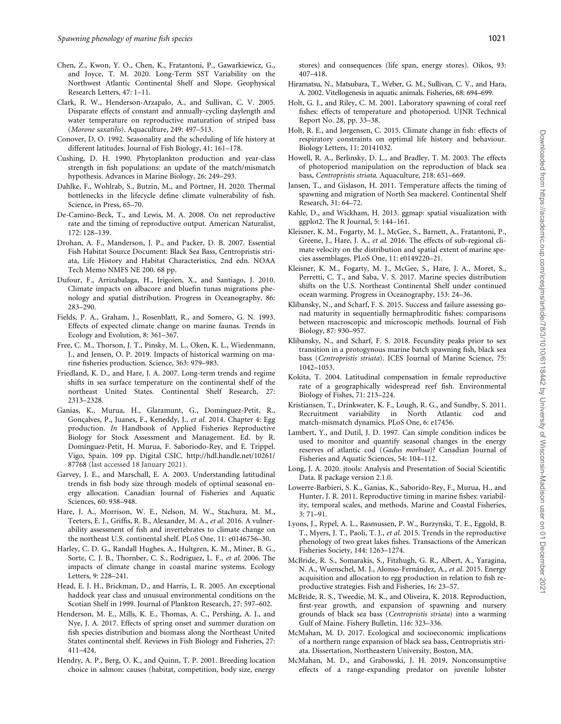- <span id="page-11-0"></span>Chen, Z., Kwon, Y. O., Chen, K., Fratantoni, P., Gawarkiewicz, G., and Joyce, T. M. 2020. Long-Term SST Variability on the Northwest Atlantic Continental Shelf and Slope. Geophysical Research Letters, 47: 1–11.
- Clark, R. W., Henderson-Arzapalo, A., and Sullivan, C. V. 2005. Disparate effects of constant and annually-cycling daylength and water temperature on reproductive maturation of striped bass (Morone saxatilis). Aquaculture, 249: 497–513.
- Conover, D. O. 1992. Seasonality and the scheduling of life history at different latitudes. Journal of Fish Biology, 41: 161–178.
- Cushing, D. H. 1990. Phytoplankton production and year-class strength in fish populations: an update of the match/mismatch hypothesis. Advances in Marine Biology, 26: 249–293.
- Dahlke, F., Wohlrab, S., Butzin, M., and Pörtner, H. 2020. Thermal bottlenecks in the lifecycle define climate vulnerability of fish. Science, in Press, 65–70.
- De-Camino-Beck, T., and Lewis, M. A. 2008. On net reproductive rate and the timing of reproductive output. American Naturalist, 172: 128–139.
- Drohan, A. F., Manderson, J. P., and Packer, D. B. 2007. Essential Fish Habitat Source Document: Black Sea Bass, Centropristis striata, Life History and Habitat Characteristics, 2nd edn. NOAA Tech Memo NMFS NE 200. 68 pp.
- Dufour, F., Arrizabalaga, H., Irigoien, X., and Santiago, J. 2010. Climate impacts on albacore and bluefin tunas migrations phenology and spatial distribution. Progress in Oceanography, 86: 283–290.
- Fields, P. A., Graham, J., Rosenblatt, R., and Somero, G. N. 1993. Effects of expected climate change on marine faunas. Trends in Ecology and Evolution, 8: 361–367.
- Free, C. M., Thorson, J. T., Pinsky, M. L., Oken, K. L., Wiedenmann, J., and Jensen, O. P. 2019. Impacts of historical warming on marine fisheries production. Science, 363: 979–983.
- Friedland, K. D., and Hare, J. A. 2007. Long-term trends and regime shifts in sea surface temperature on the continental shelf of the northeast United States. Continental Shelf Research, 27: 2313–2328.
- Ganias, K., Murua, H., Glaramunt, G., Dominguez-Petit, R., Gonçalves, P., Juanes, F., Keneddy, J., et al. 2014. Chapter 4: Egg production. In Handbook of Applied Fisheries Reproductive Biology for Stock Assessment and Management. Ed. by R. Domínguez-Petit, H. Murua, F. Saboriodo-Rey, and E. Trippel. Vigo, Spain. 109 pp. Digital CSIC. [http://hdl.handle.net/10261/](http://hdl.handle.net/10261/87768) [87768](http://hdl.handle.net/10261/87768) (last accessed 18 January 2021).
- Garvey, J. E., and Marschall, E. A. 2003. Understanding latitudinal trends in fish body size through models of optimal seasonal energy allocation. Canadian Journal of Fisheries and Aquatic Sciences, 60: 938–948.
- Hare, J. A., Morrison, W. E., Nelson, M. W., Stachura, M. M., Teeters, E. J., Griffis, R. B., Alexander, M. A., et al. 2016. A vulnerability assessment of fish and invertebrates to climate change on the northeast U.S. continental shelf. PLoS One, 11: e0146756–30.
- Harley, C. D. G., Randall Hughes, A., Hultgren, K. M., Miner, B. G., Sorte, C. J. B., Thornber, C. S., Rodriguez, L. F., et al. 2006. The impacts of climate change in coastal marine systems. Ecology Letters, 9: 228–241.
- Head, E. J. H., Brickman, D., and Harris, L. R. 2005. An exceptional haddock year class and unusual environmental conditions on the Scotian Shelf in 1999. Journal of Plankton Research, 27: 597–602.
- Henderson, M. E., Mills, K. E., Thomas, A. C., Pershing, A. J., and Nye, J. A. 2017. Effects of spring onset and summer duration on fish species distribution and biomass along the Northeast United States continental shelf. Reviews in Fish Biology and Fisheries, 27: 411–424.
- Hendry, A. P., Berg, O. K., and Quinn, T. P. 2001. Breeding location choice in salmon: causes (habitat, competition, body size, energy

stores) and consequences (life span, energy stores). Oikos, 93: 407–418.

- Hiramatsu, N., Matsubara, T., Weber, G. M., Sullivan, C. V., and Hara, A. 2002. Vitellogenesis in aquatic animals. Fisheries, 68: 694–699.
- Holt, G. J., and Riley, C. M. 2001. Laboratory spawning of coral reef fishes: effects of temperature and photoperiod. UJNR Technical Report No. 28, pp. 33–38.
- Holt, R. E., and Jørgensen, C. 2015. Climate change in fish: effects of respiratory constraints on optimal life history and behaviour. Biology Letters, 11: 20141032.
- Howell, R. A., Berlinsky, D. L., and Bradley, T. M. 2003. The effects of photoperiod manipulation on the reproduction of black sea bass, Centropristis striata. Aquaculture, 218: 651–669.
- Jansen, T., and Gislason, H. 2011. Temperature affects the timing of spawning and migration of North Sea mackerel. Continental Shelf Research, 31: 64–72.
- Kahle, D., and Wickham, H. 2013. ggmap: spatial visualization with ggplot2. The R Journal, 5: 144–161.
- Kleisner, K. M., Fogarty, M. J., McGee, S., Barnett, A., Fratantoni, P., Greene, J., Hare, J. A., et al. 2016. The effects of sub-regional climate velocity on the distribution and spatial extent of marine species assemblages. PLoS One, 11: e0149220–21.
- Kleisner, K. M., Fogarty, M. J., McGee, S., Hare, J. A., Moret, S., Perretti, C. T., and Saba, V. S. 2017. Marine species distribution shifts on the U.S. Northeast Continental Shelf under continued ocean warming. Progress in Oceanography, 153: 24–36.
- Klibansky, N., and Scharf, F. S. 2015. Success and failure assessing gonad maturity in sequentially hermaphroditic fishes: comparisons between macroscopic and microscopic methods. Journal of Fish Biology, 87: 930–957.
- Klibansky, N., and Scharf, F. S. 2018. Fecundity peaks prior to sex transition in a protogynous marine batch spawning fish, black sea bass (Centropristis striata). ICES Journal of Marine Science, 75: 1042–1053.
- Kokita, T. 2004. Latitudinal compensation in female reproductive rate of a geographically widespread reef fish. Environmental Biology of Fishes, 71: 213–224.
- Kristiansen, T., Drinkwater, K. F., Lough, R. G., and Sundby, S. 2011. Recruitment variability in North Atlantic cod and match-mismatch dynamics. PLoS One, 6: e17456.
- Lambert, Y., and Dutil, J. D. 1997. Can simple condition indices be used to monitor and quantify seasonal changes in the energy reserves of atlantic cod (Gadus morhua)? Canadian Journal of Fisheries and Aquatic Sciences, 54: 104–112.
- Long, J. A. 2020. jtools: Analysis and Presentation of Social Scientific Data. R package version 2.1.0.
- Lowerre-Barbieri, S. K., Ganias, K., Saborido-Rey, F., Murua, H., and Hunter, J. R. 2011. Reproductive timing in marine fishes: variability, temporal scales, and methods. Marine and Coastal Fisheries, 3: 71–91.
- Lyons, J., Rypel, A. L., Rasmussen, P. W., Burzynski, T. E., Eggold, B. T., Myers, J. T., Paoli, T. J., et al. 2015. Trends in the reproductive phenology of two great lakes fishes. Transactions of the American Fisheries Society, 144: 1263–1274.
- McBride, R. S., Somarakis, S., Fitzhugh, G. R., Albert, A., Yaragina, N. A., Wuenschel, M. J., Alonso-Fernández, A., et al. 2015. Energy acquisition and allocation to egg production in relation to fish reproductive strategies. Fish and Fisheries, 16: 23–57.
- McBride, R. S., Tweedie, M. K., and Oliveira, K. 2018. Reproduction, first-year growth, and expansion of spawning and nursery grounds of black sea bass (Centropristis striata) into a warming Gulf of Maine. Fishery Bulletin, 116: 323–336.
- McMahan, M. D. 2017. Ecological and socioeconomic implications of a northern range expansion of black sea bass, Centropristis striata. Dissertation, Northeastern University, Boston, MA.
- McMahan, M. D., and Grabowski, J. H. 2019. Nonconsumptive effects of a range-expanding predator on juvenile lobster